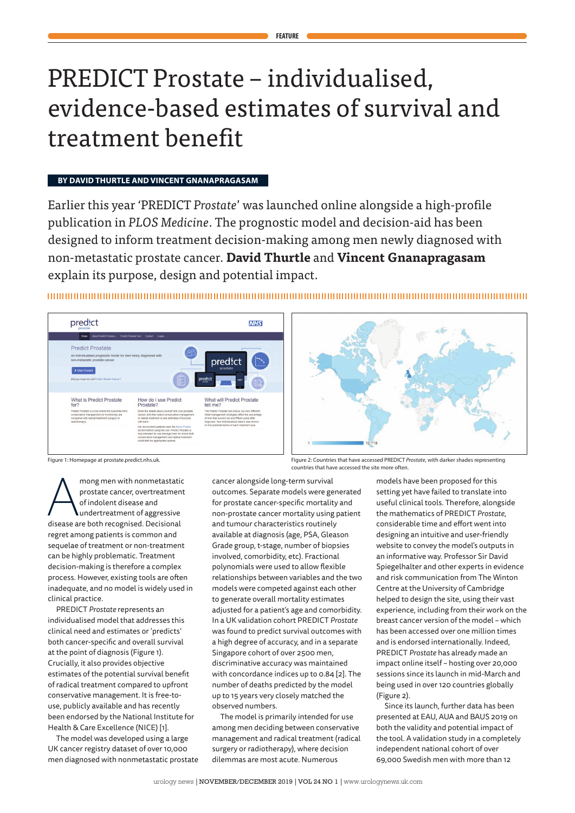# PREDICT Prostate – individualised, evidence-based estimates of survival and treatment benefit

### **BY DAVID THURTLE AND VINCENT GNANAPRAGASAM**

Earlier this year 'PREDICT *Prostate*' was launched online alongside a high-profile publication in *PLOS Medicine*. The prognostic model and decision-aid has been designed to inform treatment decision-making among men newly diagnosed with non-metastatic prostate cancer. **David Thurtle** and **Vincent Gnanapragasam** explain its purpose, design and potential impact.

## 





countries that have accessed the site more often.

mong men with nonmetastatic<br>
prostate cancer, overtreatment<br>
of indolent disease and<br>
undertreatment of aggressive<br>
disease are both recognised. Decisional prostate cancer, overtreatment of indolent disease and undertreatment of aggressive regret among patients is common and sequelae of treatment or non-treatment can be highly problematic. Treatment decision-making is therefore a complex process. However, existing tools are often inadequate, and no model is widely used in clinical practice.

PREDICT *Prostate* represents an individualised model that addresses this clinical need and estimates or 'predicts' both cancer-specific and overall survival at the point of diagnosis (Figure 1). Crucially, it also provides objective estimates of the potential survival benefit of radical treatment compared to upfront conservative management. It is free-touse, publicly available and has recently been endorsed by the National Institute for Health & Care Excellence (NICE) [1].

The model was developed using a large UK cancer registry dataset of over 10,000 men diagnosed with nonmetastatic prostate

cancer alongside long-term survival outcomes. Separate models were generated for prostate cancer-specific mortality and non-prostate cancer mortality using patient and tumour characteristics routinely available at diagnosis (age, PSA, Gleason Grade group, t-stage, number of biopsies involved, comorbidity, etc). Fractional polynomials were used to allow flexible relationships between variables and the two models were competed against each other to generate overall mortality estimates adjusted for a patient's age and comorbidity. In a UK validation cohort PREDICT *Prostate* was found to predict survival outcomes with a high degree of accuracy, and in a separate Singapore cohort of over 2500 men, discriminative accuracy was maintained with concordance indices up to 0.84 [2]. The number of deaths predicted by the model up to 15 years very closely matched the observed numbers.

The model is primarily intended for use among men deciding between conservative management and radical treatment (radical surgery or radiotherapy), where decision dilemmas are most acute. Numerous

models have been proposed for this setting yet have failed to translate into useful clinical tools. Therefore, alongside the mathematics of PREDICT *Prostate*, considerable time and effort went into designing an intuitive and user-friendly website to convey the model's outputs in an informative way. Professor Sir David Spiegelhalter and other experts in evidence and risk communication from The Winton Centre at the University of Cambridge helped to design the site, using their vast experience, including from their work on the breast cancer version of the model – which has been accessed over one million times and is endorsed internationally. Indeed, PREDICT *Prostate* has already made an impact online itself – hosting over 20,000 sessions since its launch in mid-March and being used in over 120 countries globally (Figure 2).

Since its launch, further data has been presented at EAU, AUA and BAUS 2019 on both the validity and potential impact of the tool. A validation study in a completely independent national cohort of over 69,000 Swedish men with more than 12